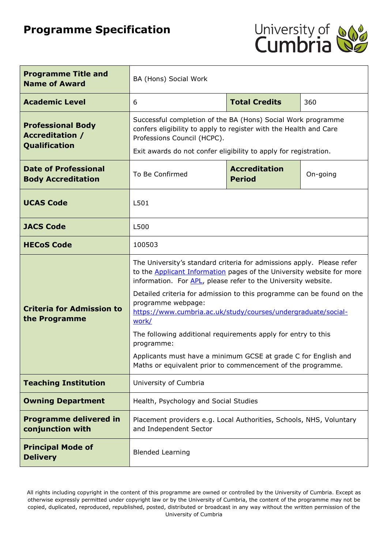# **Programme Specification**



| <b>Programme Title and</b><br><b>Name of Award</b>                  | BA (Hons) Social Work                                                                                                                                                                                                                                                                                                                                                                                                                                                                                                                            |                      |     |
|---------------------------------------------------------------------|--------------------------------------------------------------------------------------------------------------------------------------------------------------------------------------------------------------------------------------------------------------------------------------------------------------------------------------------------------------------------------------------------------------------------------------------------------------------------------------------------------------------------------------------------|----------------------|-----|
| <b>Academic Level</b>                                               | 6                                                                                                                                                                                                                                                                                                                                                                                                                                                                                                                                                | <b>Total Credits</b> | 360 |
| <b>Professional Body</b><br><b>Accreditation /</b><br>Qualification | Successful completion of the BA (Hons) Social Work programme<br>confers eligibility to apply to register with the Health and Care<br>Professions Council (HCPC).<br>Exit awards do not confer eligibility to apply for registration.                                                                                                                                                                                                                                                                                                             |                      |     |
| <b>Date of Professional</b><br><b>Body Accreditation</b>            | <b>Accreditation</b><br>To Be Confirmed<br>On-going<br><b>Period</b>                                                                                                                                                                                                                                                                                                                                                                                                                                                                             |                      |     |
| <b>UCAS Code</b>                                                    | L501                                                                                                                                                                                                                                                                                                                                                                                                                                                                                                                                             |                      |     |
| <b>JACS Code</b>                                                    | L500                                                                                                                                                                                                                                                                                                                                                                                                                                                                                                                                             |                      |     |
| <b>HECoS Code</b>                                                   | 100503                                                                                                                                                                                                                                                                                                                                                                                                                                                                                                                                           |                      |     |
| <b>Criteria for Admission to</b><br>the Programme                   | The University's standard criteria for admissions apply. Please refer<br>to the <b>Applicant Information</b> pages of the University website for more<br>information. For APL, please refer to the University website.<br>Detailed criteria for admission to this programme can be found on the<br>programme webpage:<br>https://www.cumbria.ac.uk/study/courses/undergraduate/social-<br>work/<br>The following additional requirements apply for entry to this<br>programme:<br>Applicants must have a minimum GCSE at grade C for English and |                      |     |
| <b>Teaching Institution</b>                                         | Maths or equivalent prior to commencement of the programme.<br>University of Cumbria                                                                                                                                                                                                                                                                                                                                                                                                                                                             |                      |     |
| <b>Owning Department</b>                                            | Health, Psychology and Social Studies                                                                                                                                                                                                                                                                                                                                                                                                                                                                                                            |                      |     |
| <b>Programme delivered in</b><br>conjunction with                   | Placement providers e.g. Local Authorities, Schools, NHS, Voluntary<br>and Independent Sector                                                                                                                                                                                                                                                                                                                                                                                                                                                    |                      |     |
| <b>Principal Mode of</b><br><b>Delivery</b>                         | <b>Blended Learning</b>                                                                                                                                                                                                                                                                                                                                                                                                                                                                                                                          |                      |     |

All rights including copyright in the content of this programme are owned or controlled by the University of Cumbria. Except as otherwise expressly permitted under copyright law or by the University of Cumbria, the content of the programme may not be copied, duplicated, reproduced, republished, posted, distributed or broadcast in any way without the written permission of the University of Cumbria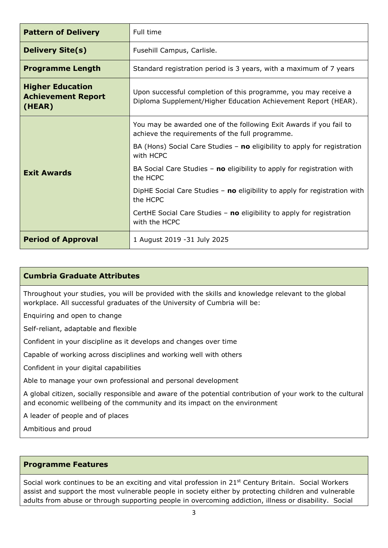| <b>Pattern of Delivery</b>                                     | Full time                                                                                                                         |  |
|----------------------------------------------------------------|-----------------------------------------------------------------------------------------------------------------------------------|--|
| <b>Delivery Site(s)</b>                                        | Fusehill Campus, Carlisle.                                                                                                        |  |
| <b>Programme Length</b>                                        | Standard registration period is 3 years, with a maximum of 7 years                                                                |  |
| <b>Higher Education</b><br><b>Achievement Report</b><br>(HEAR) | Upon successful completion of this programme, you may receive a<br>Diploma Supplement/Higher Education Achievement Report (HEAR). |  |
|                                                                | You may be awarded one of the following Exit Awards if you fail to<br>achieve the requirements of the full programme.             |  |
|                                                                | BA (Hons) Social Care Studies $-$ no eligibility to apply for registration<br>with HCPC                                           |  |
| <b>Exit Awards</b>                                             | BA Social Care Studies - no eligibility to apply for registration with<br>the HCPC                                                |  |
|                                                                | DipHE Social Care Studies $-$ no eligibility to apply for registration with<br>the HCPC                                           |  |
|                                                                | CertHE Social Care Studies - no eligibility to apply for registration<br>with the HCPC                                            |  |
| <b>Period of Approval</b>                                      | 1 August 2019 - 31 July 2025                                                                                                      |  |

### **Cumbria Graduate Attributes**

Throughout your studies, you will be provided with the skills and knowledge relevant to the global workplace. All successful graduates of the University of Cumbria will be:

Enquiring and open to change

Self-reliant, adaptable and flexible

Confident in your discipline as it develops and changes over time

Capable of working across disciplines and working well with others

Confident in your digital capabilities

Able to manage your own professional and personal development

A global citizen, socially responsible and aware of the potential contribution of your work to the cultural and economic wellbeing of the community and its impact on the environment

A leader of people and of places

Ambitious and proud

#### **Programme Features**

Social work continues to be an exciting and vital profession in 21<sup>st</sup> Century Britain. Social Workers assist and support the most vulnerable people in society either by protecting children and vulnerable adults from abuse or through supporting people in overcoming addiction, illness or disability. Social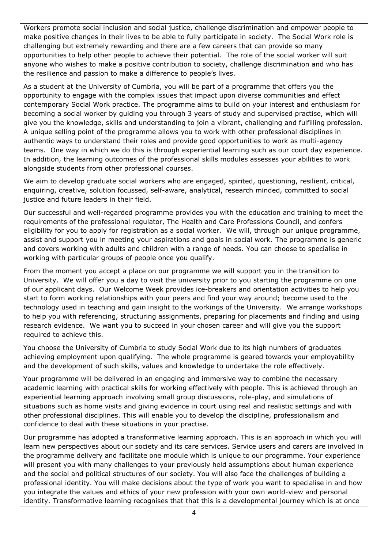Workers promote social inclusion and social justice, challenge discrimination and empower people to make positive changes in their lives to be able to fully participate in society. The Social Work role is challenging but extremely rewarding and there are a few careers that can provide so many opportunities to help other people to achieve their potential. The role of the social worker will suit anyone who wishes to make a positive contribution to society, challenge discrimination and who has the resilience and passion to make a difference to people's lives.

As a student at the University of Cumbria, you will be part of a programme that offers you the opportunity to engage with the complex issues that impact upon diverse communities and effect contemporary Social Work practice. The programme aims to build on your interest and enthusiasm for becoming a social worker by guiding you through 3 years of study and supervised practise, which will give you the knowledge, skills and understanding to join a vibrant, challenging and fulfilling profession. A unique selling point of the programme allows you to work with other professional disciplines in authentic ways to understand their roles and provide good opportunities to work as multi-agency teams. One way in which we do this is through experiential learning such as our court day experience. In addition, the learning outcomes of the professional skills modules assesses your abilities to work alongside students from other professional courses.

We aim to develop graduate social workers who are engaged, spirited, questioning, resilient, critical, enquiring, creative, solution focussed, self-aware, analytical, research minded, committed to social justice and future leaders in their field.

Our successful and well-regarded programme provides you with the education and training to meet the requirements of the professional regulator, The Health and Care Professions Council, and confers eligibility for you to apply for registration as a social worker. We will, through our unique programme, assist and support you in meeting your aspirations and goals in social work. The programme is generic and covers working with adults and children with a range of needs. You can choose to specialise in working with particular groups of people once you qualify.

From the moment you accept a place on our programme we will support you in the transition to University. We will offer you a day to visit the university prior to you starting the programme on one of our applicant days. Our Welcome Week provides ice-breakers and orientation activities to help you start to form working relationships with your peers and find your way around; become used to the technology used in teaching and gain insight to the workings of the University. We arrange workshops to help you with referencing, structuring assignments, preparing for placements and finding and using research evidence. We want you to succeed in your chosen career and will give you the support required to achieve this.

You choose the University of Cumbria to study Social Work due to its high numbers of graduates achieving employment upon qualifying. The whole programme is geared towards your employability and the development of such skills, values and knowledge to undertake the role effectively.

Your programme will be delivered in an engaging and immersive way to combine the necessary academic learning with practical skills for working effectively with people. This is achieved through an experiential learning approach involving small group discussions, role-play, and simulations of situations such as home visits and giving evidence in court using real and realistic settings and with other professional disciplines. This will enable you to develop the discipline, professionalism and confidence to deal with these situations in your practise.

Our programme has adopted a transformative learning approach. This is an approach in which you will learn new perspectives about our society and its care services. Service users and carers are involved in the programme delivery and facilitate one module which is unique to our programme. Your experience will present you with many challenges to your previously held assumptions about human experience and the social and political structures of our society. You will also face the challenges of building a professional identity. You will make decisions about the type of work you want to specialise in and how you integrate the values and ethics of your new profession with your own world-view and personal identity. Transformative learning recognises that that this is a developmental journey which is at once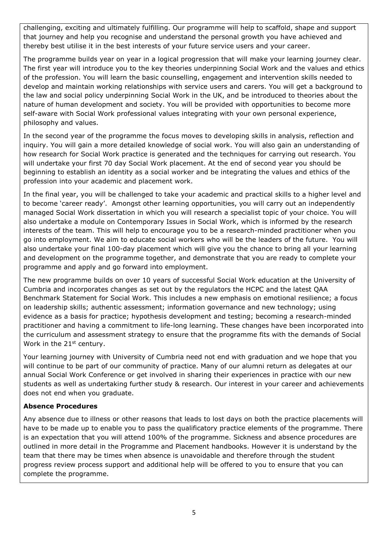challenging, exciting and ultimately fulfilling. Our programme will help to scaffold, shape and support that journey and help you recognise and understand the personal growth you have achieved and thereby best utilise it in the best interests of your future service users and your career.

The programme builds year on year in a logical progression that will make your learning journey clear. The first year will introduce you to the key theories underpinning Social Work and the values and ethics of the profession. You will learn the basic counselling, engagement and intervention skills needed to develop and maintain working relationships with service users and carers. You will get a background to the law and social policy underpinning Social Work in the UK, and be introduced to theories about the nature of human development and society. You will be provided with opportunities to become more self-aware with Social Work professional values integrating with your own personal experience, philosophy and values.

In the second year of the programme the focus moves to developing skills in analysis, reflection and inquiry. You will gain a more detailed knowledge of social work. You will also gain an understanding of how research for Social Work practice is generated and the techniques for carrying out research. You will undertake your first 70 day Social Work placement. At the end of second year you should be beginning to establish an identity as a social worker and be integrating the values and ethics of the profession into your academic and placement work.

In the final year, you will be challenged to take your academic and practical skills to a higher level and to become 'career ready'. Amongst other learning opportunities, you will carry out an independently managed Social Work dissertation in which you will research a specialist topic of your choice. You will also undertake a module on Contemporary Issues in Social Work, which is informed by the research interests of the team. This will help to encourage you to be a research-minded practitioner when you go into employment. We aim to educate social workers who will be the leaders of the future. You will also undertake your final 100-day placement which will give you the chance to bring all your learning and development on the programme together, and demonstrate that you are ready to complete your programme and apply and go forward into employment.

The new programme builds on over 10 years of successful Social Work education at the University of Cumbria and incorporates changes as set out by the regulators the HCPC and the latest QAA Benchmark Statement for Social Work. This includes a new emphasis on emotional resilience; a focus on leadership skills; authentic assessment; information governance and new technology; using evidence as a basis for practice; hypothesis development and testing; becoming a research-minded practitioner and having a commitment to life-long learning. These changes have been incorporated into the curriculum and assessment strategy to ensure that the programme fits with the demands of Social Work in the 21<sup>st</sup> century.

Your learning journey with University of Cumbria need not end with graduation and we hope that you will continue to be part of our community of practice. Many of our alumni return as delegates at our annual Social Work Conference or get involved in sharing their experiences in practice with our new students as well as undertaking further study & research. Our interest in your career and achievements does not end when you graduate.

#### **Absence Procedures**

Any absence due to illness or other reasons that leads to lost days on both the practice placements will have to be made up to enable you to pass the qualificatory practice elements of the programme. There is an expectation that you will attend 100% of the programme. Sickness and absence procedures are outlined in more detail in the Programme and Placement handbooks. However it is understand by the team that there may be times when absence is unavoidable and therefore through the student progress review process support and additional help will be offered to you to ensure that you can complete the programme.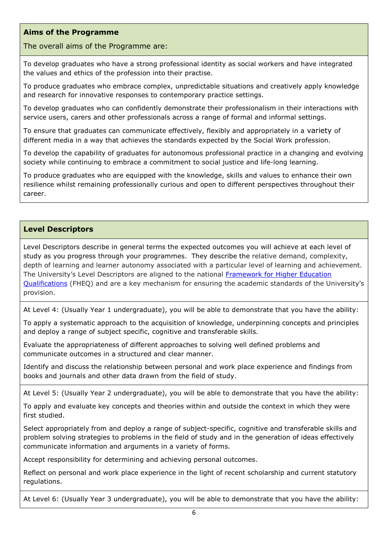### **Aims of the Programme**

#### The overall aims of the Programme are:

To develop graduates who have a strong professional identity as social workers and have integrated the values and ethics of the profession into their practise.

To produce graduates who embrace complex, unpredictable situations and creatively apply knowledge and research for innovative responses to contemporary practice settings.

To develop graduates who can confidently demonstrate their professionalism in their interactions with service users, carers and other professionals across a range of formal and informal settings.

To ensure that graduates can communicate effectively, flexibly and appropriately in a variety of different media in a way that achieves the standards expected by the Social Work profession.

To develop the capability of graduates for autonomous professional practice in a changing and evolving society while continuing to embrace a commitment to social justice and life-long learning.

To produce graduates who are equipped with the knowledge, skills and values to enhance their own resilience whilst remaining professionally curious and open to different perspectives throughout their career.

### **Level Descriptors**

Level Descriptors describe in general terms the expected outcomes you will achieve at each level of study as you progress through your programmes. They describe the relative demand, complexity, depth of learning and learner autonomy associated with a particular level of learning and achievement. The University's Level Descriptors are aligned to the national [Framework for Higher Education](http://www.qaa.ac.uk/en/Publications/Documents/qualifications-frameworks.pdf)  [Qualifications](http://www.qaa.ac.uk/en/Publications/Documents/qualifications-frameworks.pdf) (FHEQ) and are a key mechanism for ensuring the academic standards of the University's provision.

At Level 4: (Usually Year 1 undergraduate), you will be able to demonstrate that you have the ability:

To apply a systematic approach to the acquisition of knowledge, underpinning concepts and principles and deploy a range of subject specific, cognitive and transferable skills.

Evaluate the appropriateness of different approaches to solving well defined problems and communicate outcomes in a structured and clear manner.

Identify and discuss the relationship between personal and work place experience and findings from books and journals and other data drawn from the field of study.

At Level 5: (Usually Year 2 undergraduate), you will be able to demonstrate that you have the ability:

To apply and evaluate key concepts and theories within and outside the context in which they were first studied.

Select appropriately from and deploy a range of subject-specific, cognitive and transferable skills and problem solving strategies to problems in the field of study and in the generation of ideas effectively communicate information and arguments in a variety of forms.

Accept responsibility for determining and achieving personal outcomes.

Reflect on personal and work place experience in the light of recent scholarship and current statutory regulations.

At Level 6: (Usually Year 3 undergraduate), you will be able to demonstrate that you have the ability: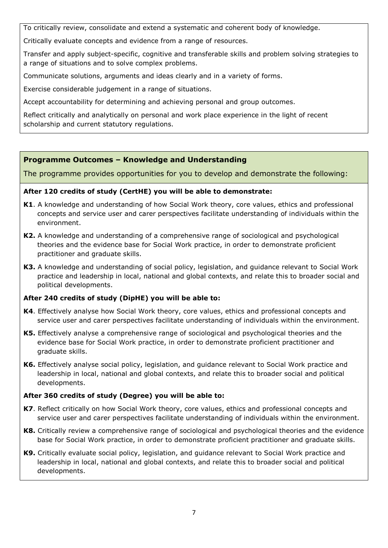To critically review, consolidate and extend a systematic and coherent body of knowledge.

Critically evaluate concepts and evidence from a range of resources.

Transfer and apply subject-specific, cognitive and transferable skills and problem solving strategies to a range of situations and to solve complex problems.

Communicate solutions, arguments and ideas clearly and in a variety of forms.

Exercise considerable judgement in a range of situations.

Accept accountability for determining and achieving personal and group outcomes.

Reflect critically and analytically on personal and work place experience in the light of recent scholarship and current statutory regulations.

### **Programme Outcomes – Knowledge and Understanding**

The programme provides opportunities for you to develop and demonstrate the following:

### **After 120 credits of study (CertHE) you will be able to demonstrate:**

- **K1**. A knowledge and understanding of how Social Work theory, core values, ethics and professional concepts and service user and carer perspectives facilitate understanding of individuals within the environment.
- **K2.** A knowledge and understanding of a comprehensive range of sociological and psychological theories and the evidence base for Social Work practice, in order to demonstrate proficient practitioner and graduate skills.
- **K3.** A knowledge and understanding of social policy, legislation, and guidance relevant to Social Work practice and leadership in local, national and global contexts, and relate this to broader social and political developments.

### **After 240 credits of study (DipHE) you will be able to:**

- **K4**. Effectively analyse how Social Work theory, core values, ethics and professional concepts and service user and carer perspectives facilitate understanding of individuals within the environment.
- **K5.** Effectively analyse a comprehensive range of sociological and psychological theories and the evidence base for Social Work practice, in order to demonstrate proficient practitioner and graduate skills.
- **K6.** Effectively analyse social policy, legislation, and guidance relevant to Social Work practice and leadership in local, national and global contexts, and relate this to broader social and political developments.

### **After 360 credits of study (Degree) you will be able to:**

- **K7**. Reflect critically on how Social Work theory, core values, ethics and professional concepts and service user and carer perspectives facilitate understanding of individuals within the environment.
- **K8.** Critically review a comprehensive range of sociological and psychological theories and the evidence base for Social Work practice, in order to demonstrate proficient practitioner and graduate skills.
- **K9.** Critically evaluate social policy, legislation, and guidance relevant to Social Work practice and leadership in local, national and global contexts, and relate this to broader social and political developments.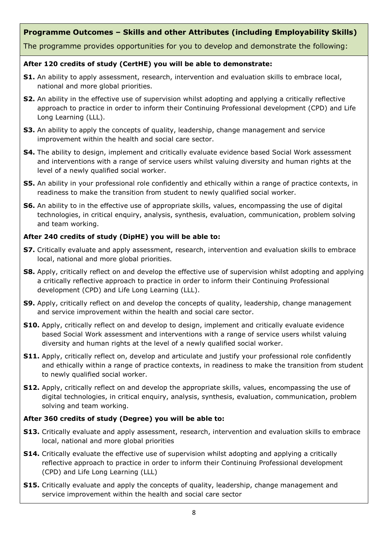### **Programme Outcomes – Skills and other Attributes (including Employability Skills)**

The programme provides opportunities for you to develop and demonstrate the following:

### **After 120 credits of study (CertHE) you will be able to demonstrate:**

- **S1.** An ability to apply assessment, research, intervention and evaluation skills to embrace local, national and more global priorities.
- **S2.** An ability in the effective use of supervision whilst adopting and applying a critically reflective approach to practice in order to inform their Continuing Professional development (CPD) and Life Long Learning (LLL).
- **S3.** An ability to apply the concepts of quality, leadership, change management and service improvement within the health and social care sector.
- **S4.** The ability to design, implement and critically evaluate evidence based Social Work assessment and interventions with a range of service users whilst valuing diversity and human rights at the level of a newly qualified social worker.
- **S5.** An ability in your professional role confidently and ethically within a range of practice contexts, in readiness to make the transition from student to newly qualified social worker.
- **S6.** An ability to in the effective use of appropriate skills, values, encompassing the use of digital technologies, in critical enquiry, analysis, synthesis, evaluation, communication, problem solving and team working.

### **After 240 credits of study (DipHE) you will be able to:**

- **S7.** Critically evaluate and apply assessment, research, intervention and evaluation skills to embrace local, national and more global priorities.
- **S8.** Apply, critically reflect on and develop the effective use of supervision whilst adopting and applying a critically reflective approach to practice in order to inform their Continuing Professional development (CPD) and Life Long Learning (LLL).
- **S9.** Apply, critically reflect on and develop the concepts of quality, leadership, change management and service improvement within the health and social care sector.
- **S10.** Apply, critically reflect on and develop to design, implement and critically evaluate evidence based Social Work assessment and interventions with a range of service users whilst valuing diversity and human rights at the level of a newly qualified social worker.
- **S11.** Apply, critically reflect on, develop and articulate and justify your professional role confidently and ethically within a range of practice contexts, in readiness to make the transition from student to newly qualified social worker.
- **S12.** Apply, critically reflect on and develop the appropriate skills, values, encompassing the use of digital technologies, in critical enquiry, analysis, synthesis, evaluation, communication, problem solving and team working.

### **After 360 credits of study (Degree) you will be able to:**

- **S13.** Critically evaluate and apply assessment, research, intervention and evaluation skills to embrace local, national and more global priorities
- **S14.** Critically evaluate the effective use of supervision whilst adopting and applying a critically reflective approach to practice in order to inform their Continuing Professional development (CPD) and Life Long Learning (LLL)
- **S15.** Critically evaluate and apply the concepts of quality, leadership, change management and service improvement within the health and social care sector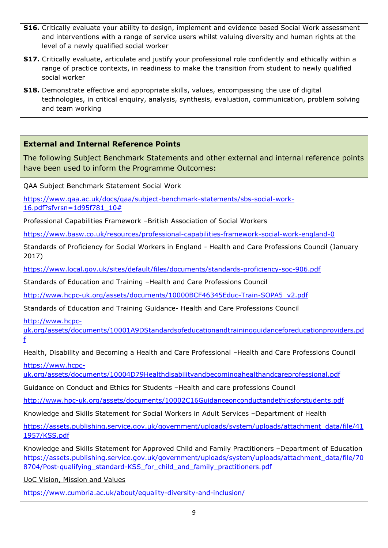- **S16.** Critically evaluate your ability to design, implement and evidence based Social Work assessment and interventions with a range of service users whilst valuing diversity and human rights at the level of a newly qualified social worker
- **S17.** Critically evaluate, articulate and justify your professional role confidently and ethically within a range of practice contexts, in readiness to make the transition from student to newly qualified social worker
- **S18.** Demonstrate effective and appropriate skills, values, encompassing the use of digital technologies, in critical enquiry, analysis, synthesis, evaluation, communication, problem solving and team working

### **External and Internal Reference Points**

The following Subject Benchmark Statements and other external and internal reference points have been used to inform the Programme Outcomes:

QAA Subject Benchmark Statement Social Work

[https://www.qaa.ac.uk/docs/qaa/subject-benchmark-statements/sbs-social-work-](https://www.qaa.ac.uk/docs/qaa/subject-benchmark-statements/sbs-social-work-16.pdf?sfvrsn=1d95f781_10)[16.pdf?sfvrsn=1d95f781\\_10#](https://www.qaa.ac.uk/docs/qaa/subject-benchmark-statements/sbs-social-work-16.pdf?sfvrsn=1d95f781_10)

Professional Capabilities Framework –British Association of Social Workers

<https://www.basw.co.uk/resources/professional-capabilities-framework-social-work-england-0>

Standards of Proficiency for Social Workers in England - Health and Care Professions Council (January 2017)

<https://www.local.gov.uk/sites/default/files/documents/standards-proficiency-soc-906.pdf>

Standards of Education and Training –Health and Care Professions Council

[http://www.hcpc-uk.org/assets/documents/10000BCF46345Educ-Train-SOPA5\\_v2.pdf](http://www.hcpc-uk.org/assets/documents/10000BCF46345Educ-Train-SOPA5_v2.pdf)

Standards of Education and Training Guidance- Health and Care Professions Council

[http://www.hcpc-](http://www.hcpc-uk.org/assets/documents/10001A9DStandardsofeducationandtrainingguidanceforeducationproviders.pdf)

[uk.org/assets/documents/10001A9DStandardsofeducationandtrainingguidanceforeducationproviders.pd](http://www.hcpc-uk.org/assets/documents/10001A9DStandardsofeducationandtrainingguidanceforeducationproviders.pdf) [f](http://www.hcpc-uk.org/assets/documents/10001A9DStandardsofeducationandtrainingguidanceforeducationproviders.pdf)

Health, Disability and Becoming a Health and Care Professional –Health and Care Professions Council

[https://www.hcpc-](https://www.hcpc-uk.org/assets/documents/10004D79Healthdisabilityandbecomingahealthandcareprofessional.pdf)

[uk.org/assets/documents/10004D79Healthdisabilityandbecomingahealthandcareprofessional.pdf](https://www.hcpc-uk.org/assets/documents/10004D79Healthdisabilityandbecomingahealthandcareprofessional.pdf)

Guidance on Conduct and Ethics for Students –Health and care professions Council

<http://www.hpc-uk.org/assets/documents/10002C16Guidanceonconductandethicsforstudents.pdf>

Knowledge and Skills Statement for Social Workers in Adult Services –Department of Health

[https://assets.publishing.service.gov.uk/government/uploads/system/uploads/attachment\\_data/file/41](https://assets.publishing.service.gov.uk/government/uploads/system/uploads/attachment_data/file/411957/KSS.pdf) [1957/KSS.pdf](https://assets.publishing.service.gov.uk/government/uploads/system/uploads/attachment_data/file/411957/KSS.pdf)

Knowledge and Skills Statement for Approved Child and Family Practitioners –Department of Education [https://assets.publishing.service.gov.uk/government/uploads/system/uploads/attachment\\_data/file/70](https://assets.publishing.service.gov.uk/government/uploads/system/uploads/attachment_data/file/708704/Post-qualifying_standard-KSS_for_child_and_family_practitioners.pdf) 8704/Post-qualifying standard-KSS for child and family practitioners.pdf

[UoC Vision, Mission and Values](https://www.cumbria.ac.uk/about/organisation/mission-vision-and-values/)

<https://www.cumbria.ac.uk/about/equality-diversity-and-inclusion/>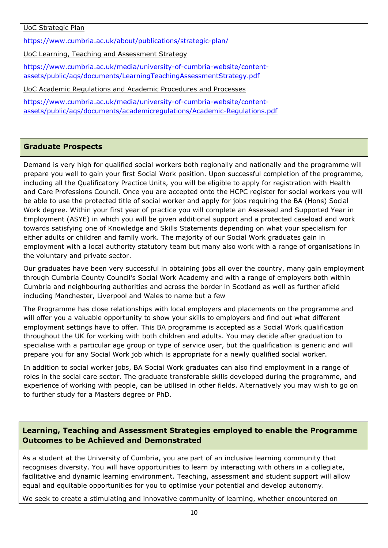UoC Strategic Plan

<https://www.cumbria.ac.uk/about/publications/strategic-plan/>

[UoC Learning, Teaching and Assessment Strategy](https://www.cumbria.ac.uk/media/university-of-cumbria-website/content-assets/public/aqs/documents/LearningTeachingAssessmentStrategy.pdf)

[https://www.cumbria.ac.uk/media/university-of-cumbria-website/content](https://www.cumbria.ac.uk/media/university-of-cumbria-website/content-%20assets/public/aqs/documents/LearningTeachingAssessmentStrategy.pdf)[assets/public/aqs/documents/LearningTeachingAssessmentStrategy.pdf](https://www.cumbria.ac.uk/media/university-of-cumbria-website/content-%20assets/public/aqs/documents/LearningTeachingAssessmentStrategy.pdf)

[UoC Academic Regulations and Academic Procedures and Processes](https://www.cumbria.ac.uk/about/organisation/professional-services/academic-quality-and-development/academic-regulations/)

[https://www.cumbria.ac.uk/media/university-of-cumbria-website/content](https://www.cumbria.ac.uk/media/university-of-cumbria-website/content-assets/public/aqs/documents/academicregulations/Academic-Regulations.pdf)[assets/public/aqs/documents/academicregulations/Academic-Regulations.pdf](https://www.cumbria.ac.uk/media/university-of-cumbria-website/content-assets/public/aqs/documents/academicregulations/Academic-Regulations.pdf)

### **Graduate Prospects**

Demand is very high for qualified social workers both regionally and nationally and the programme will prepare you well to gain your first Social Work position. Upon successful completion of the programme, including all the Qualificatory Practice Units, you will be eligible to apply for registration with Health and Care Professions Council. Once you are accepted onto the HCPC register for social workers you will be able to use the protected title of social worker and apply for jobs requiring the BA (Hons) Social Work degree. Within your first year of practice you will complete an Assessed and Supported Year in Employment (ASYE) in which you will be given additional support and a protected caseload and work towards satisfying one of Knowledge and Skills Statements depending on what your specialism for either adults or children and family work. The majority of our Social Work graduates gain in employment with a local authority statutory team but many also work with a range of organisations in the voluntary and private sector.

Our graduates have been very successful in obtaining jobs all over the country, many gain employment through Cumbria County Council's Social Work Academy and with a range of employers both within Cumbria and neighbouring authorities and across the border in Scotland as well as further afield including Manchester, Liverpool and Wales to name but a few

The Programme has close relationships with local employers and placements on the programme and will offer you a valuable opportunity to show your skills to employers and find out what different employment settings have to offer. This BA programme is accepted as a Social Work qualification throughout the UK for working with both children and adults. You may decide after graduation to specialise with a particular age group or type of service user, but the qualification is generic and will prepare you for any Social Work job which is appropriate for a newly qualified social worker.

In addition to social worker jobs, BA Social Work graduates can also find employment in a range of roles in the social care sector. The graduate transferable skills developed during the programme, and experience of working with people, can be utilised in other fields. Alternatively you may wish to go on to further study for a Masters degree or PhD.

### **Learning, Teaching and Assessment Strategies employed to enable the Programme Outcomes to be Achieved and Demonstrated**

As a student at the University of Cumbria, you are part of an inclusive learning community that recognises diversity. You will have opportunities to learn by interacting with others in a collegiate, facilitative and dynamic learning environment. Teaching, assessment and student support will allow equal and equitable opportunities for you to optimise your potential and develop autonomy.

We seek to create a stimulating and innovative community of learning, whether encountered on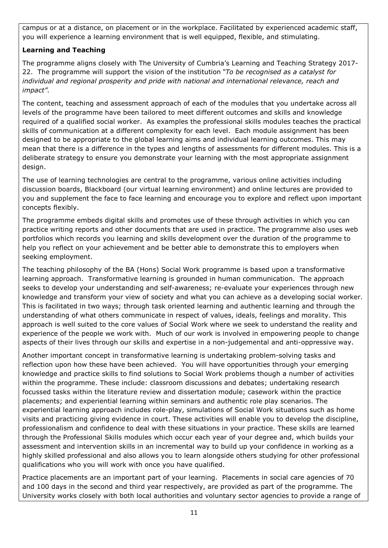campus or at a distance, on placement or in the workplace. Facilitated by experienced academic staff, you will experience a learning environment that is well equipped, flexible, and stimulating.

### **Learning and Teaching**

The programme aligns closely with The University of Cumbria's Learning and Teaching Strategy 2017- 22. The programme will support the vision of the institution *"To be recognised as a catalyst for individual and regional prosperity and pride with national and international relevance, reach and impact".*

The content, teaching and assessment approach of each of the modules that you undertake across all levels of the programme have been tailored to meet different outcomes and skills and knowledge required of a qualified social worker. As examples the professional skills modules teaches the practical skills of communication at a different complexity for each level. Each module assignment has been designed to be appropriate to the global learning aims and individual learning outcomes. This may mean that there is a difference in the types and lengths of assessments for different modules. This is a deliberate strategy to ensure you demonstrate your learning with the most appropriate assignment design.

The use of learning technologies are central to the programme, various online activities including discussion boards, Blackboard (our virtual learning environment) and online lectures are provided to you and supplement the face to face learning and encourage you to explore and reflect upon important concepts flexibly.

The programme embeds digital skills and promotes use of these through activities in which you can practice writing reports and other documents that are used in practice. The programme also uses web portfolios which records you learning and skills development over the duration of the programme to help you reflect on your achievement and be better able to demonstrate this to employers when seeking employment.

The teaching philosophy of the BA (Hons) Social Work programme is based upon a transformative learning approach. Transformative learning is grounded in human communication. The approach seeks to develop your understanding and self-awareness; re-evaluate your experiences through new knowledge and transform your view of society and what you can achieve as a developing social worker. This is facilitated in two ways; through task oriented learning and authentic learning and through the understanding of what others communicate in respect of values, ideals, feelings and morality. This approach is well suited to the core values of Social Work where we seek to understand the reality and experience of the people we work with. Much of our work is involved in empowering people to change aspects of their lives through our skills and expertise in a non-judgemental and anti-oppressive way.

Another important concept in transformative learning is undertaking problem-solving tasks and reflection upon how these have been achieved. You will have opportunities through your emerging knowledge and practice skills to find solutions to Social Work problems though a number of activities within the programme. These include: classroom discussions and debates; undertaking research focussed tasks within the literature review and dissertation module; casework within the practice placements; and experiential learning within seminars and authentic role play scenarios. The experiential learning approach includes role-play, simulations of Social Work situations such as home visits and practicing giving evidence in court. These activities will enable you to develop the discipline, professionalism and confidence to deal with these situations in your practice. These skills are learned through the Professional Skills modules which occur each year of your degree and, which builds your assessment and intervention skills in an incremental way to build up your confidence in working as a highly skilled professional and also allows you to learn alongside others studying for other professional qualifications who you will work with once you have qualified.

Practice placements are an important part of your learning. Placements in social care agencies of 70 and 100 days in the second and third year respectively, are provided as part of the programme. The University works closely with both local authorities and voluntary sector agencies to provide a range of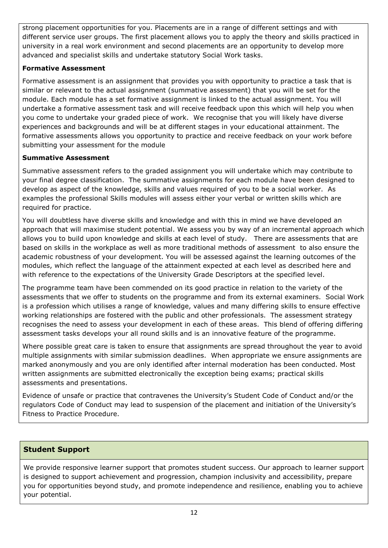strong placement opportunities for you. Placements are in a range of different settings and with different service user groups. The first placement allows you to apply the theory and skills practiced in university in a real work environment and second placements are an opportunity to develop more advanced and specialist skills and undertake statutory Social Work tasks.

### **Formative Assessment**

Formative assessment is an assignment that provides you with opportunity to practice a task that is similar or relevant to the actual assignment (summative assessment) that you will be set for the module. Each module has a set formative assignment is linked to the actual assignment. You will undertake a formative assessment task and will receive feedback upon this which will help you when you come to undertake your graded piece of work. We recognise that you will likely have diverse experiences and backgrounds and will be at different stages in your educational attainment. The formative assessments allows you opportunity to practice and receive feedback on your work before submitting your assessment for the module

### **Summative Assessment**

Summative assessment refers to the graded assignment you will undertake which may contribute to your final degree classification. The summative assignments for each module have been designed to develop as aspect of the knowledge, skills and values required of you to be a social worker. As examples the professional Skills modules will assess either your verbal or written skills which are required for practice.

You will doubtless have diverse skills and knowledge and with this in mind we have developed an approach that will maximise student potential. We assess you by way of an incremental approach which allows you to build upon knowledge and skills at each level of study. There are assessments that are based on skills in the workplace as well as more traditional methods of assessment to also ensure the academic robustness of your development. You will be assessed against the learning outcomes of the modules, which reflect the language of the attainment expected at each level as described here and with reference to the expectations of the University Grade Descriptors at the specified level.

The programme team have been commended on its good practice in relation to the variety of the assessments that we offer to students on the programme and from its external examiners. Social Work is a profession which utilises a range of knowledge, values and many differing skills to ensure effective working relationships are fostered with the public and other professionals. The assessment strategy recognises the need to assess your development in each of these areas. This blend of offering differing assessment tasks develops your all round skills and is an innovative feature of the programme.

Where possible great care is taken to ensure that assignments are spread throughout the year to avoid multiple assignments with similar submission deadlines. When appropriate we ensure assignments are marked anonymously and you are only identified after internal moderation has been conducted. Most written assignments are submitted electronically the exception being exams; practical skills assessments and presentations.

Evidence of unsafe or practice that contravenes the University's Student Code of Conduct and/or the regulators Code of Conduct may lead to suspension of the placement and initiation of the University's Fitness to Practice Procedure.

### **Student Support**

We provide responsive learner support that promotes student success. Our approach to learner support is designed to support achievement and progression, champion inclusivity and accessibility, prepare you for opportunities beyond study, and promote independence and resilience, enabling you to achieve your potential.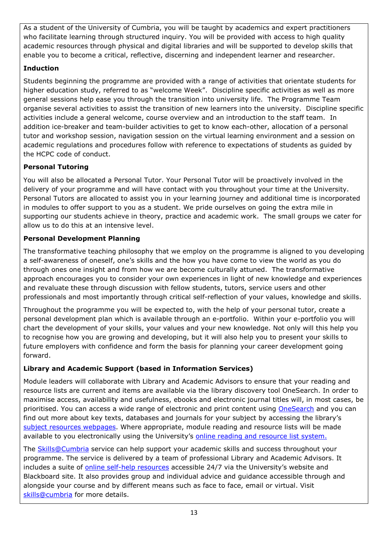As a student of the University of Cumbria, you will be taught by academics and expert practitioners who facilitate learning through structured inquiry. You will be provided with access to high quality academic resources through physical and digital libraries and will be supported to develop skills that enable you to become a critical, reflective, discerning and independent learner and researcher.

### **Induction**

Students beginning the programme are provided with a range of activities that orientate students for higher education study, referred to as "welcome Week". Discipline specific activities as well as more general sessions help ease you through the transition into university life. The Programme Team organise several activities to assist the transition of new learners into the university. Discipline specific activities include a general welcome, course overview and an introduction to the staff team. In addition ice-breaker and team-builder activities to get to know each-other, allocation of a personal tutor and workshop session, navigation session on the virtual learning environment and a session on academic regulations and procedures follow with reference to expectations of students as guided by the HCPC code of conduct.

### **Personal Tutoring**

You will also be allocated a Personal Tutor. Your Personal Tutor will be proactively involved in the delivery of your programme and will have contact with you throughout your time at the University. Personal Tutors are allocated to assist you in your learning journey and additional time is incorporated in modules to offer support to you as a student. We pride ourselves on going the extra mile in supporting our students achieve in theory, practice and academic work. The small groups we cater for allow us to do this at an intensive level.

### **Personal Development Planning**

The transformative teaching philosophy that we employ on the programme is aligned to you developing a self-awareness of oneself, one's skills and the how you have come to view the world as you do through ones one insight and from how we are become culturally attuned. The transformative approach encourages you to consider your own experiences in light of new knowledge and experiences and revaluate these through discussion with fellow students, tutors, service users and other professionals and most importantly through critical self-reflection of your values, knowledge and skills.

Throughout the programme you will be expected to, with the help of your personal tutor, create a personal development plan which is available through an e-portfolio. Within your e-portfolio you will chart the development of your skills, your values and your new knowledge. Not only will this help you to recognise how you are growing and developing, but it will also help you to present your skills to future employers with confidence and form the basis for planning your career development going forward.

### **Library and Academic Support (based in Information Services)**

Module leaders will collaborate with Library and Academic Advisors to ensure that your reading and resource lists are current and items are available via the library discovery tool OneSearch. In order to maximise access, availability and usefulness, ebooks and electronic journal titles will, in most cases, be prioritised. You can access a wide range of electronic and print content using [OneSearch](http://cumbria-primo.hosted.exlibrisgroup.com/primo_library/libweb/action/search.do?vid=44UOC_VU1) and you can find out more about key texts, databases and journals for your subject by accessing the library's [subject resources webpages.](http://my.cumbria.ac.uk/StudentLife/Learning/Resources/Subjects/Home.aspx) Where appropriate, module reading and resource lists will be made available to you electronically using the University's [online reading and resource list system.](https://cumbria.rebuslist.com/)

The [Skills@Cumbria](https://my.cumbria.ac.uk/Student-Life/Learning/Skills-Cumbria/) service can help support your academic skills and success throughout your programme. The service is delivered by a team of professional Library and Academic Advisors. It includes a suite of [online self-help resources](https://my.cumbria.ac.uk/Student-Life/Learning/Skills-Cumbria/) accessible 24/7 via the University's website and Blackboard site. It also provides group and individual advice and guidance accessible through and alongside your course and by different means such as face to face, email or virtual. Visit [skills@cumbria](https://my.cumbria.ac.uk/Student-Life/Learning/Skills-Cumbria/) for more details.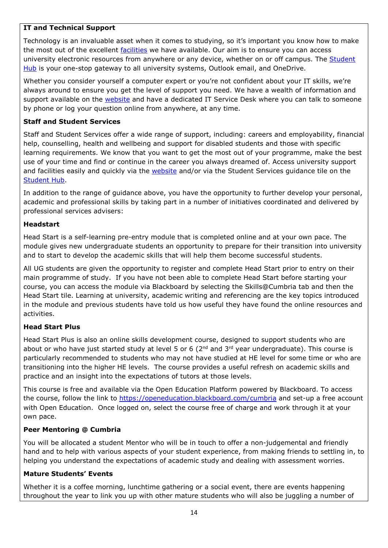### **IT and Technical Support**

Technology is an invaluable asset when it comes to studying, so it's important you know how to make the most out of the excellent [facilities](https://www.cumbria.ac.uk/student-life/facilities/it-facilities/) we have available. Our aim is to ensure you can access university electronic resources from anywhere or any device, whether on or off campus. The Student [Hub](https://universityofcumbria.mydaycloud.com/dashboard/allsorts) is your one-stop gateway to all university systems, Outlook email, and OneDrive.

Whether you consider yourself a computer expert or you're not confident about your IT skills, we're always around to ensure you get the level of support you need. We have a wealth of information and support available on the [website](https://my.cumbria.ac.uk/Student-Life/it-media/) and have a dedicated IT Service Desk where you can talk to someone by phone or log your question online from anywhere, at any time.

### **Staff and Student Services**

Staff and Student Services offer a wide range of support, including: careers and employability, financial help, counselling, health and wellbeing and support for disabled students and those with specific learning requirements. We know that you want to get the most out of your programme, make the best use of your time and find or continue in the career you always dreamed of. Access university support and facilities easily and quickly via the [website](https://my.cumbria.ac.uk/) and/or via the Student Services guidance tile on the [Student Hub.](https://universityofcumbria.mydaycloud.com/dashboard/allsorts)

In addition to the range of guidance above, you have the opportunity to further develop your personal, academic and professional skills by taking part in a number of initiatives coordinated and delivered by professional services advisers:

### **Headstart**

Head Start is a self-learning pre-entry module that is completed online and at your own pace. The module gives new undergraduate students an opportunity to prepare for their transition into university and to start to develop the academic skills that will help them become successful students.

All UG students are given the opportunity to register and complete Head Start prior to entry on their main programme of study. If you have not been able to complete Head Start before starting your course, you can access the module via Blackboard by selecting the Skills@Cumbria tab and then the Head Start tile. Learning at university, academic writing and referencing are the key topics introduced in the module and previous students have told us how useful they have found the online resources and activities.

### **Head Start Plus**

Head Start Plus is also an online skills development course, designed to support students who are about or who have just started study at level 5 or 6 ( $2<sup>nd</sup>$  and  $3<sup>rd</sup>$  year undergraduate). This course is particularly recommended to students who may not have studied at HE level for some time or who are transitioning into the higher HE levels. The course provides a useful refresh on academic skills and practice and an insight into the expectations of tutors at those levels.

This course is free and available via the Open Education Platform powered by Blackboard. To access the course, follow the link to<https://openeducation.blackboard.com/cumbria> and set-up a free account with Open Education. Once logged on, select the course free of charge and work through it at your own pace.

#### **Peer Mentoring @ Cumbria**

You will be allocated a student Mentor who will be in touch to offer a non-judgemental and friendly hand and to help with various aspects of your student experience, from making friends to settling in, to helping you understand the expectations of academic study and dealing with assessment worries.

#### **Mature Students' Events**

Whether it is a coffee morning, lunchtime gathering or a social event, there are events happening throughout the year to link you up with other mature students who will also be juggling a number of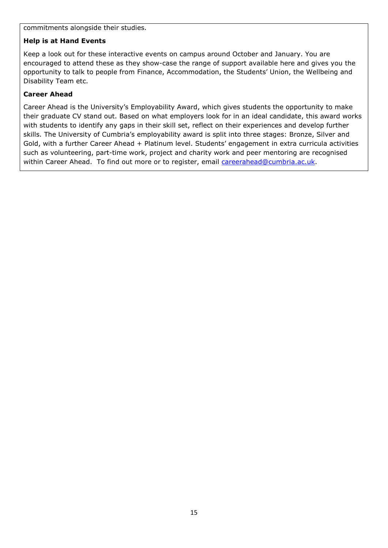commitments alongside their studies.

### **Help is at Hand Events**

Keep a look out for these interactive events on campus around October and January. You are encouraged to attend these as they show-case the range of support available here and gives you the opportunity to talk to people from Finance, Accommodation, the Students' Union, the Wellbeing and Disability Team etc.

### **Career Ahead**

Career Ahead is the University's Employability Award, which gives students the opportunity to make their graduate CV stand out. Based on what employers look for in an ideal candidate, this award works with students to identify any gaps in their skill set, reflect on their experiences and develop further skills. The University of Cumbria's employability award is split into three stages: Bronze, Silver and Gold, with a further Career Ahead + Platinum level. Students' engagement in extra curricula activities such as volunteering, part-time work, project and charity work and peer mentoring are recognised within Career Ahead. To find out more or to register, email [careerahead@cumbria.ac.uk.](mailto:careerahead@cumbria.ac.uk)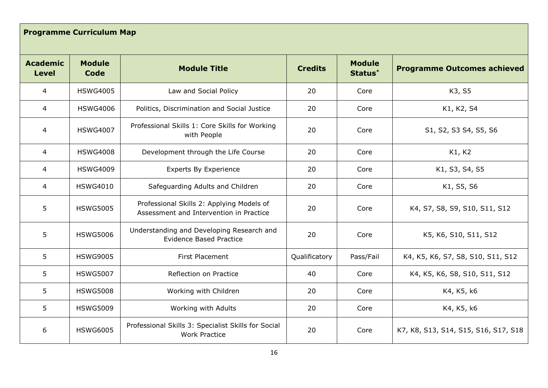## **Programme Curriculum Map**

| <b>Academic</b><br><b>Level</b> | <b>Module</b><br>Code | <b>Module Title</b>                                                                  | <b>Credits</b> | <b>Module</b><br>Status* | <b>Programme Outcomes achieved</b>   |
|---------------------------------|-----------------------|--------------------------------------------------------------------------------------|----------------|--------------------------|--------------------------------------|
| 4                               | <b>HSWG4005</b>       | Law and Social Policy                                                                | 20             | Core                     | K3, S5                               |
| 4                               | <b>HSWG4006</b>       | Politics, Discrimination and Social Justice                                          | 20             | Core                     | K1, K2, S4                           |
| 4                               | <b>HSWG4007</b>       | Professional Skills 1: Core Skills for Working<br>with People                        | 20             | Core                     | S1, S2, S3 S4, S5, S6                |
| $\overline{4}$                  | <b>HSWG4008</b>       | Development through the Life Course                                                  | 20             | Core                     | K1, K2                               |
| 4                               | <b>HSWG4009</b>       | <b>Experts By Experience</b>                                                         | 20             | Core                     | K1, S3, S4, S5                       |
| $\overline{4}$                  | <b>HSWG4010</b>       | Safeguarding Adults and Children                                                     | 20             | Core                     | K1, S5, S6                           |
| 5                               | <b>HSWG5005</b>       | Professional Skills 2: Applying Models of<br>Assessment and Intervention in Practice | 20             | Core                     | K4, S7, S8, S9, S10, S11, S12        |
| 5                               | <b>HSWG5006</b>       | Understanding and Developing Research and<br><b>Evidence Based Practice</b>          | 20             | Core                     | K5, K6, S10, S11, S12                |
| 5                               | <b>HSWG9005</b>       | First Placement                                                                      | Qualificatory  | Pass/Fail                | K4, K5, K6, S7, S8, S10, S11, S12    |
| 5                               | <b>HSWG5007</b>       | Reflection on Practice                                                               | 40             | Core                     | K4, K5, K6, S8, S10, S11, S12        |
| 5                               | <b>HSWG5008</b>       | Working with Children                                                                | 20             | Core                     | K4, K5, k6                           |
| 5                               | <b>HSWG5009</b>       | Working with Adults                                                                  | 20             | Core                     | K4, K5, k6                           |
| 6                               | <b>HSWG6005</b>       | Professional Skills 3: Specialist Skills for Social<br><b>Work Practice</b>          | 20             | Core                     | K7, K8, S13, S14, S15, S16, S17, S18 |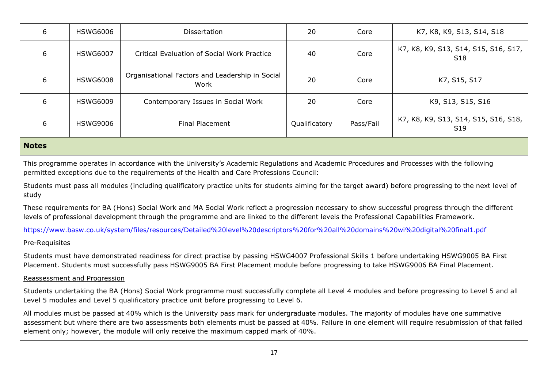|   |                 |                                                         |               | Core      | K7, K8, K9, S13, S14, S18                               |
|---|-----------------|---------------------------------------------------------|---------------|-----------|---------------------------------------------------------|
| 6 | <b>HSWG6007</b> | <b>Critical Evaluation of Social Work Practice</b>      | 40            | Core      | K7, K8, K9, S13, S14, S15, S16, S17,<br>S <sub>18</sub> |
| 6 | <b>HSWG6008</b> | Organisational Factors and Leadership in Social<br>Work | 20            | Core      | K7, S15, S17                                            |
| 6 | <b>HSWG6009</b> | Contemporary Issues in Social Work                      | 20            | Core      | K9, S13, S15, S16                                       |
| 6 | <b>HSWG9006</b> | <b>Final Placement</b>                                  | Qualificatory | Pass/Fail | K7, K8, K9, S13, S14, S15, S16, S18,<br>S <sub>19</sub> |

#### **Notes**

This programme operates in accordance with the University's Academic Regulations and Academic Procedures and Processes with the following permitted exceptions due to the requirements of the Health and Care Professions Council:

Students must pass all modules (including qualificatory practice units for students aiming for the target award) before progressing to the next level of study

These requirements for BA (Hons) Social Work and MA Social Work reflect a progression necessary to show successful progress through the different levels of professional development through the programme and are linked to the different levels the Professional Capabilities Framework.

<https://www.basw.co.uk/system/files/resources/Detailed%20level%20descriptors%20for%20all%20domains%20wi%20digital%20final1.pdf>

#### Pre-Requisites

Students must have demonstrated readiness for direct practise by passing HSWG4007 Professional Skills 1 before undertaking HSWG9005 BA First Placement. Students must successfully pass HSWG9005 BA First Placement module before progressing to take HSWG9006 BA Final Placement.

#### Reassessment and Progression

Students undertaking the BA (Hons) Social Work programme must successfully complete all Level 4 modules and before progressing to Level 5 and all Level 5 modules and Level 5 qualificatory practice unit before progressing to Level 6.

All modules must be passed at 40% which is the University pass mark for undergraduate modules. The majority of modules have one summative assessment but where there are two assessments both elements must be passed at 40%. Failure in one element will require resubmission of that failed element only; however, the module will only receive the maximum capped mark of 40%.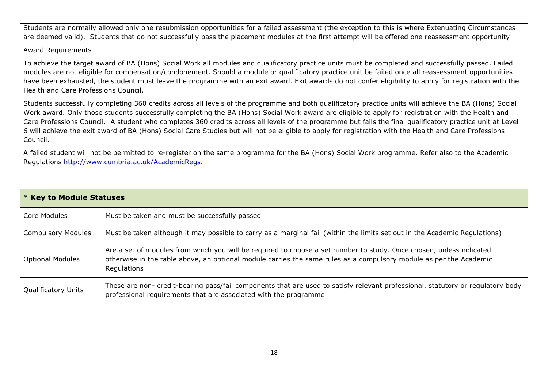Students are normally allowed only one resubmission opportunities for a failed assessment (the exception to this is where Extenuating Circumstances are deemed valid). Students that do not successfully pass the placement modules at the first attempt will be offered one reassessment opportunity

#### Award Requirements

To achieve the target award of BA (Hons) Social Work all modules and qualificatory practice units must be completed and successfully passed. Failed modules are not eligible for compensation/condonement. Should a module or qualificatory practice unit be failed once all reassessment opportunities have been exhausted, the student must leave the programme with an exit award. Exit awards do not confer eligibility to apply for registration with the Health and Care Professions Council.

Students successfully completing 360 credits across all levels of the programme and both qualificatory practice units will achieve the BA (Hons) Social Work award. Only those students successfully completing the BA (Hons) Social Work award are eligible to apply for registration with the Health and Care Professions Council. A student who completes 360 credits across all levels of the programme but fails the final qualificatory practice unit at Level 6 will achieve the exit award of BA (Hons) Social Care Studies but will not be eligible to apply for registration with the Health and Care Professions Council.

A failed student will not be permitted to re-register on the same programme for the BA (Hons) Social Work programme. Refer also to the Academic Regulations [http://www.cumbria.ac.uk/AcademicRegs.](http://www.cumbria.ac.uk/AcademicRegs)

| <b>* Key to Module Statuses</b> |                                                                                                                                                                                                                                                          |  |
|---------------------------------|----------------------------------------------------------------------------------------------------------------------------------------------------------------------------------------------------------------------------------------------------------|--|
| Core Modules                    | Must be taken and must be successfully passed                                                                                                                                                                                                            |  |
| <b>Compulsory Modules</b>       | Must be taken although it may possible to carry as a marginal fail (within the limits set out in the Academic Regulations)                                                                                                                               |  |
| <b>Optional Modules</b>         | Are a set of modules from which you will be required to choose a set number to study. Once chosen, unless indicated<br>otherwise in the table above, an optional module carries the same rules as a compulsory module as per the Academic<br>Regulations |  |
| <b>Qualificatory Units</b>      | These are non- credit-bearing pass/fail components that are used to satisfy relevant professional, statutory or regulatory body<br>professional requirements that are associated with the programme                                                      |  |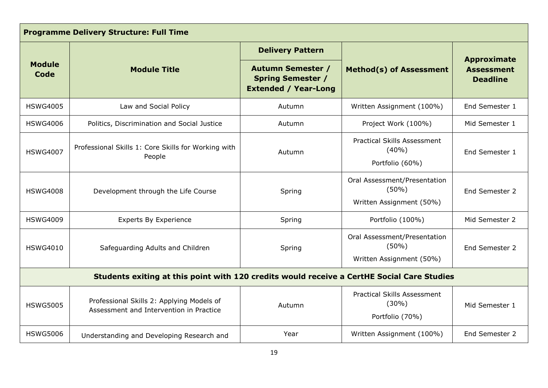| <b>Programme Delivery Structure: Full Time</b>                                             |                                                                                      |                                                                                     |                                                                      |                                                            |
|--------------------------------------------------------------------------------------------|--------------------------------------------------------------------------------------|-------------------------------------------------------------------------------------|----------------------------------------------------------------------|------------------------------------------------------------|
|                                                                                            |                                                                                      | <b>Delivery Pattern</b>                                                             |                                                                      |                                                            |
| <b>Module</b><br>Code                                                                      | <b>Module Title</b>                                                                  | <b>Autumn Semester /</b><br><b>Spring Semester /</b><br><b>Extended / Year-Long</b> | <b>Method(s) of Assessment</b>                                       | <b>Approximate</b><br><b>Assessment</b><br><b>Deadline</b> |
| <b>HSWG4005</b>                                                                            | Law and Social Policy                                                                | Autumn                                                                              | Written Assignment (100%)                                            | End Semester 1                                             |
| <b>HSWG4006</b>                                                                            | Politics, Discrimination and Social Justice                                          | Autumn                                                                              | Project Work (100%)                                                  | Mid Semester 1                                             |
| <b>HSWG4007</b>                                                                            | Professional Skills 1: Core Skills for Working with<br>People                        | Autumn                                                                              | <b>Practical Skills Assessment</b><br>(40%)<br>Portfolio (60%)       | End Semester 1                                             |
| <b>HSWG4008</b>                                                                            | Development through the Life Course                                                  | Spring                                                                              | Oral Assessment/Presentation<br>$(50\%)$<br>Written Assignment (50%) | End Semester 2                                             |
| <b>HSWG4009</b>                                                                            | <b>Experts By Experience</b>                                                         | Spring                                                                              | Portfolio (100%)                                                     | Mid Semester 2                                             |
| <b>HSWG4010</b>                                                                            | Safeguarding Adults and Children                                                     | Spring                                                                              | Oral Assessment/Presentation<br>(50%)<br>Written Assignment (50%)    | End Semester 2                                             |
| Students exiting at this point with 120 credits would receive a CertHE Social Care Studies |                                                                                      |                                                                                     |                                                                      |                                                            |
| <b>HSWG5005</b>                                                                            | Professional Skills 2: Applying Models of<br>Assessment and Intervention in Practice | Autumn                                                                              | <b>Practical Skills Assessment</b><br>$(30\%)$<br>Portfolio (70%)    | Mid Semester 1                                             |
| <b>HSWG5006</b>                                                                            | Understanding and Developing Research and                                            | Year                                                                                | Written Assignment (100%)                                            | End Semester 2                                             |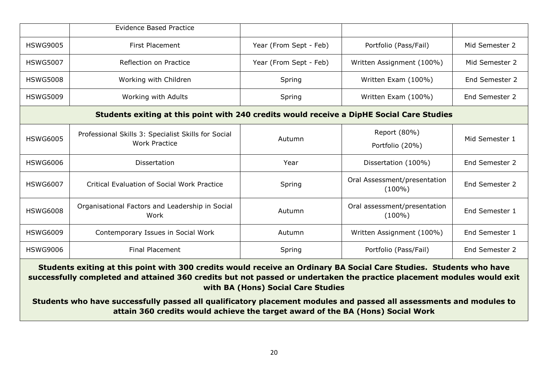|                                                                                                                     | <b>Evidence Based Practice</b>                                                            |                        |                                           |                |
|---------------------------------------------------------------------------------------------------------------------|-------------------------------------------------------------------------------------------|------------------------|-------------------------------------------|----------------|
| <b>HSWG9005</b>                                                                                                     | <b>First Placement</b>                                                                    | Year (From Sept - Feb) | Portfolio (Pass/Fail)                     | Mid Semester 2 |
| <b>HSWG5007</b>                                                                                                     | Reflection on Practice                                                                    | Year (From Sept - Feb) | Written Assignment (100%)                 | Mid Semester 2 |
| <b>HSWG5008</b>                                                                                                     | Working with Children                                                                     | Spring                 | Written Exam (100%)                       | End Semester 2 |
| <b>HSWG5009</b>                                                                                                     | Working with Adults                                                                       | Spring                 | Written Exam (100%)                       | End Semester 2 |
|                                                                                                                     | Students exiting at this point with 240 credits would receive a DipHE Social Care Studies |                        |                                           |                |
| <b>HSWG6005</b>                                                                                                     | Professional Skills 3: Specialist Skills for Social<br><b>Work Practice</b>               | Autumn                 | Report (80%)<br>Portfolio (20%)           | Mid Semester 1 |
| <b>HSWG6006</b>                                                                                                     | Dissertation                                                                              | Year                   | Dissertation (100%)                       | End Semester 2 |
| <b>HSWG6007</b>                                                                                                     | Critical Evaluation of Social Work Practice                                               | Spring                 | Oral Assessment/presentation<br>$(100\%)$ | End Semester 2 |
| <b>HSWG6008</b>                                                                                                     | Organisational Factors and Leadership in Social<br>Work                                   | Autumn                 | Oral assessment/presentation<br>$(100\%)$ | End Semester 1 |
| <b>HSWG6009</b>                                                                                                     | Contemporary Issues in Social Work                                                        | Autumn                 | Written Assignment (100%)                 | End Semester 1 |
| <b>HSWG9006</b>                                                                                                     | <b>Final Placement</b>                                                                    | Spring                 | Portfolio (Pass/Fail)                     | End Semester 2 |
| Students exiting at this noint with 300 credits would receive an Ordinary RA Social Care Studies. Students who have |                                                                                           |                        |                                           |                |

**Students exiting at this point with 300 credits would receive an Ordinary BA Social Care Studies. Students who have successfully completed and attained 360 credits but not passed or undertaken the practice placement modules would exit with BA (Hons) Social Care Studies**

**Students who have successfully passed all qualificatory placement modules and passed all assessments and modules to attain 360 credits would achieve the target award of the BA (Hons) Social Work**